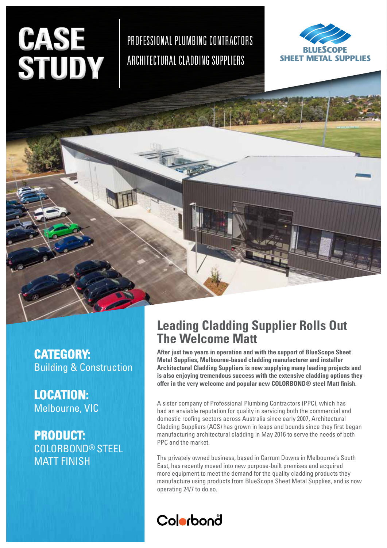# **CASE<br>STUDY**

PROFESSIONAL PLUMBING CONTRACTORS ARCHITECTURAL CLADDING SUPPLIERS



**CATEGORY:** Building & Construction

**LOCATION:** Melbourne, VIC

**PRODUCT:** COLORBOND® STEEL MATT FINISH

## **Leading Cladding Supplier Rolls Out The Welcome Matt**

**After just two years in operation and with the support of BlueScope Sheet Metal Supplies, Melbourne-based cladding manufacturer and installer Architectural Cladding Suppliers is now supplying many leading projects and is also enjoying tremendous success with the extensive cladding options they offer in the very welcome and popular new COLORBOND® steel Matt finish.** 

A sister company of Professional Plumbing Contractors (PPC), which has had an enviable reputation for quality in servicing both the commercial and domestic roofing sectors across Australia since early 2007, Architectural Cladding Suppliers (ACS) has grown in leaps and bounds since they first began manufacturing architectural cladding in May 2016 to serve the needs of both PPC and the market.

The privately owned business, based in Carrum Downs in Melbourne's South East, has recently moved into new purpose-built premises and acquired more equipment to meet the demand for the quality cladding products they manufacture using products from BlueScope Sheet Metal Supplies, and is now operating 24/7 to do so.

# Colorbona